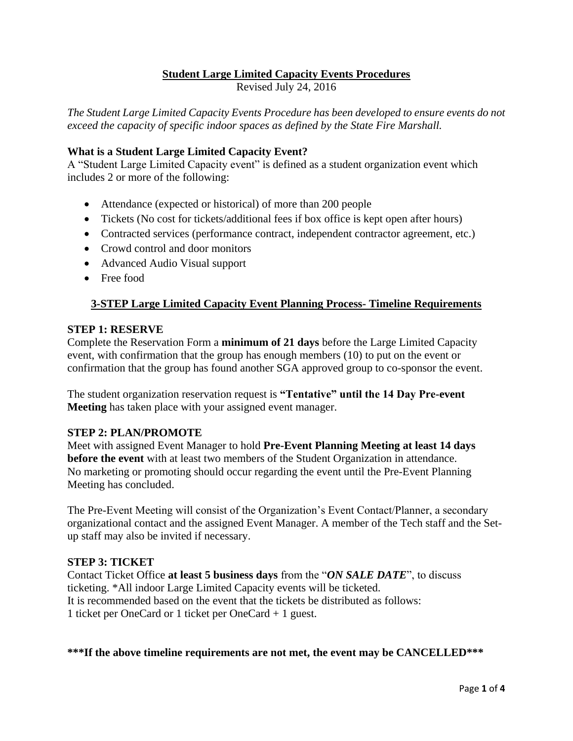# **Student Large Limited Capacity Events Procedures**

Revised July 24, 2016

*The Student Large Limited Capacity Events Procedure has been developed to ensure events do not exceed the capacity of specific indoor spaces as defined by the State Fire Marshall.* 

### **What is a Student Large Limited Capacity Event?**

A "Student Large Limited Capacity event" is defined as a student organization event which includes 2 or more of the following:

- Attendance (expected or historical) of more than 200 people
- Tickets (No cost for tickets/additional fees if box office is kept open after hours)
- Contracted services (performance contract, independent contractor agreement, etc.)
- Crowd control and door monitors
- Advanced Audio Visual support
- Free food

# **3-STEP Large Limited Capacity Event Planning Process- Timeline Requirements**

#### **STEP 1: RESERVE**

Complete the Reservation Form a **minimum of 21 days** before the Large Limited Capacity event, with confirmation that the group has enough members (10) to put on the event or confirmation that the group has found another SGA approved group to co-sponsor the event.

The student organization reservation request is **"Tentative" until the 14 Day Pre-event Meeting** has taken place with your assigned event manager.

### **STEP 2: PLAN/PROMOTE**

Meet with assigned Event Manager to hold **Pre-Event Planning Meeting at least 14 days before the event** with at least two members of the Student Organization in attendance. No marketing or promoting should occur regarding the event until the Pre-Event Planning Meeting has concluded.

The Pre-Event Meeting will consist of the Organization's Event Contact/Planner, a secondary organizational contact and the assigned Event Manager. A member of the Tech staff and the Setup staff may also be invited if necessary.

### **STEP 3: TICKET**

Contact Ticket Office **at least 5 business days** from the "*ON SALE DATE*", to discuss ticketing. \*All indoor Large Limited Capacity events will be ticketed. It is recommended based on the event that the tickets be distributed as follows: 1 ticket per OneCard or 1 ticket per OneCard + 1 guest.

#### **\*\*\*If the above timeline requirements are not met, the event may be CANCELLED\*\*\***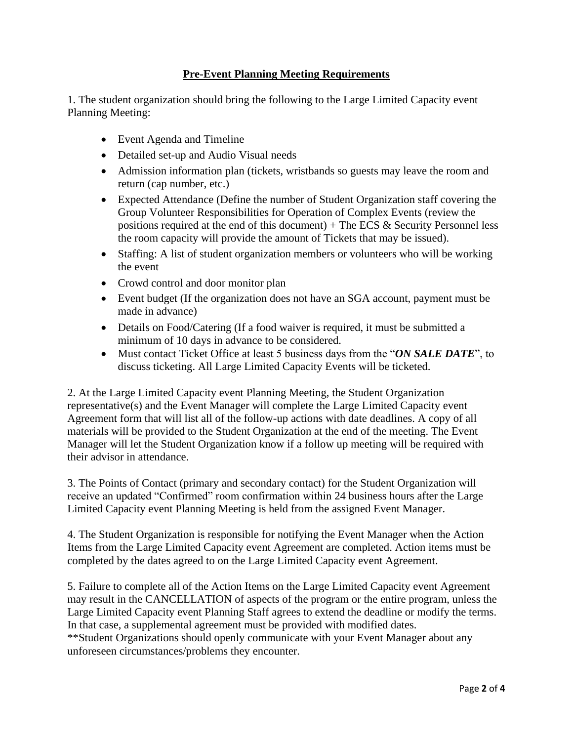# **Pre-Event Planning Meeting Requirements**

1. The student organization should bring the following to the Large Limited Capacity event Planning Meeting:

- Event Agenda and Timeline
- Detailed set-up and Audio Visual needs
- Admission information plan (tickets, wristbands so guests may leave the room and return (cap number, etc.)
- Expected Attendance (Define the number of Student Organization staff covering the Group Volunteer Responsibilities for Operation of Complex Events (review the positions required at the end of this document)  $+$  The ECS  $\&$  Security Personnel less the room capacity will provide the amount of Tickets that may be issued).
- Staffing: A list of student organization members or volunteers who will be working the event
- Crowd control and door monitor plan
- Event budget (If the organization does not have an SGA account, payment must be made in advance)
- Details on Food/Catering (If a food waiver is required, it must be submitted a minimum of 10 days in advance to be considered.
- Must contact Ticket Office at least 5 business days from the "*ON SALE DATE*", to discuss ticketing. All Large Limited Capacity Events will be ticketed.

2. At the Large Limited Capacity event Planning Meeting, the Student Organization representative(s) and the Event Manager will complete the Large Limited Capacity event Agreement form that will list all of the follow-up actions with date deadlines. A copy of all materials will be provided to the Student Organization at the end of the meeting. The Event Manager will let the Student Organization know if a follow up meeting will be required with their advisor in attendance.

3. The Points of Contact (primary and secondary contact) for the Student Organization will receive an updated "Confirmed" room confirmation within 24 business hours after the Large Limited Capacity event Planning Meeting is held from the assigned Event Manager.

4. The Student Organization is responsible for notifying the Event Manager when the Action Items from the Large Limited Capacity event Agreement are completed. Action items must be completed by the dates agreed to on the Large Limited Capacity event Agreement.

5. Failure to complete all of the Action Items on the Large Limited Capacity event Agreement may result in the CANCELLATION of aspects of the program or the entire program, unless the Large Limited Capacity event Planning Staff agrees to extend the deadline or modify the terms. In that case, a supplemental agreement must be provided with modified dates.

\*\*Student Organizations should openly communicate with your Event Manager about any unforeseen circumstances/problems they encounter.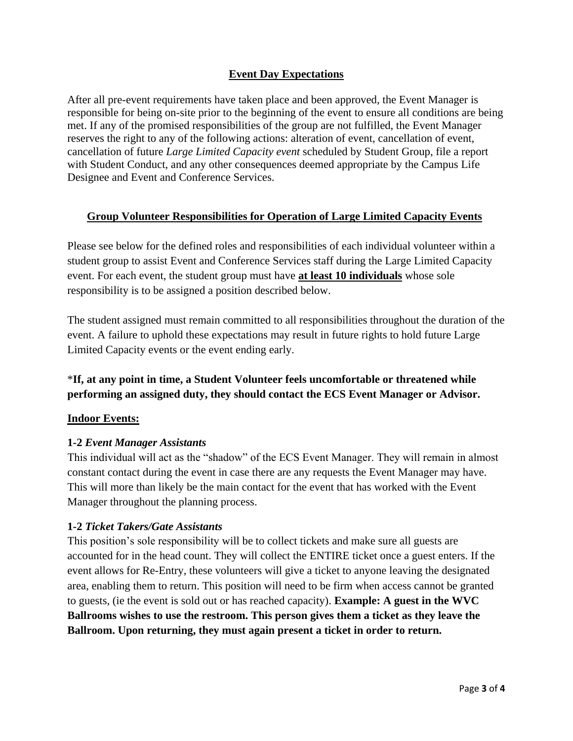# **Event Day Expectations**

After all pre-event requirements have taken place and been approved, the Event Manager is responsible for being on-site prior to the beginning of the event to ensure all conditions are being met. If any of the promised responsibilities of the group are not fulfilled, the Event Manager reserves the right to any of the following actions: alteration of event, cancellation of event, cancellation of future *Large Limited Capacity event* scheduled by Student Group, file a report with Student Conduct, and any other consequences deemed appropriate by the Campus Life Designee and Event and Conference Services.

### **Group Volunteer Responsibilities for Operation of Large Limited Capacity Events**

Please see below for the defined roles and responsibilities of each individual volunteer within a student group to assist Event and Conference Services staff during the Large Limited Capacity event. For each event, the student group must have **at least 10 individuals** whose sole responsibility is to be assigned a position described below.

The student assigned must remain committed to all responsibilities throughout the duration of the event. A failure to uphold these expectations may result in future rights to hold future Large Limited Capacity events or the event ending early.

# \***If, at any point in time, a Student Volunteer feels uncomfortable or threatened while performing an assigned duty, they should contact the ECS Event Manager or Advisor.**

### **Indoor Events:**

### **1-2** *Event Manager Assistants*

This individual will act as the "shadow" of the ECS Event Manager. They will remain in almost constant contact during the event in case there are any requests the Event Manager may have. This will more than likely be the main contact for the event that has worked with the Event Manager throughout the planning process.

### **1-2** *Ticket Takers/Gate Assistants*

This position's sole responsibility will be to collect tickets and make sure all guests are accounted for in the head count. They will collect the ENTIRE ticket once a guest enters. If the event allows for Re-Entry, these volunteers will give a ticket to anyone leaving the designated area, enabling them to return. This position will need to be firm when access cannot be granted to guests, (ie the event is sold out or has reached capacity). **Example: A guest in the WVC Ballrooms wishes to use the restroom. This person gives them a ticket as they leave the Ballroom. Upon returning, they must again present a ticket in order to return.**